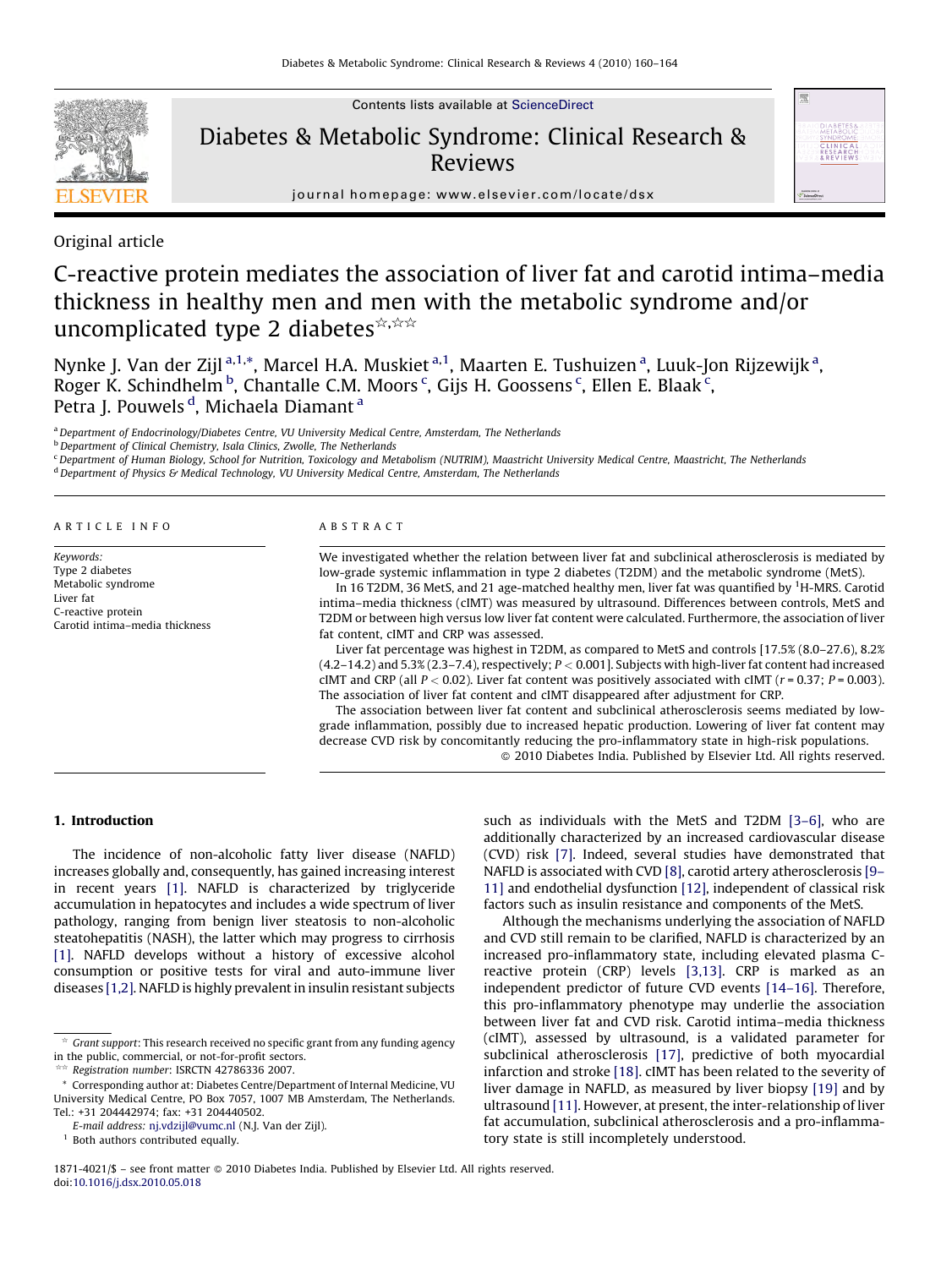

Contents lists available at [ScienceDirect](http://www.sciencedirect.com/science/journal/18714021)

# Diabetes & Metabolic Syndrome: Clinical Research & Reviews



journal homepage: www.elsevier.com/locate/dsx

Original article

# C-reactive protein mediates the association of liver fat and carotid intima–media thickness in healthy men and men with the metabolic syndrome and/or uncomplicated type 2 diabetes  $\hat{\mathbf{x}}$ ,  $\hat{\mathbf{x}}$

Nynke J. Van der Zijl<sup>a,1,</sup>\*, Marcel H.A. Muskiet <sup>a,1</sup>, Maarten E. Tushuizen <sup>a</sup>, Luuk-Jon Rijzewijk <sup>a</sup>, Roger K. Schindhelm <sup>b</sup>, Chantalle C.M. Moors <sup>c</sup>, Gijs H. Goossens <sup>c</sup>, Ellen E. Blaak <sup>c</sup>, Petra J. Pouwels <sup>d</sup>, Michaela Diamant <sup>a</sup>

<sup>a</sup> Department of Endocrinology/Diabetes Centre, VU University Medical Centre, Amsterdam, The Netherlands

b<br>b Department of Clinical Chemistry, Isala Clinics, Zwolle, The Netherlands

<sup>c</sup> Department of Human Biology, School for Nutrition, Toxicology and Metabolism (NUTRIM), Maastricht University Medical Centre, Maastricht, The Netherlands <sup>d</sup> Department of Physics & Medical Technology, VU University Medical Centre, Amsterdam, The Netherlands

ARTICLE INFO

Carotid intima–media thickness

Keywords: Type 2 diabetes Metabolic syndrome

Liver fat C-reactive protein ABSTRACT

We investigated whether the relation between liver fat and subclinical atherosclerosis is mediated by low-grade systemic inflammation in type 2 diabetes (T2DM) and the metabolic syndrome (MetS).

In 16 T2DM, 36 MetS, and 21 age-matched healthy men, liver fat was quantified by  $^1\mathrm{H}\text{-}$ MRS. Carotid intima–media thickness (cIMT) was measured by ultrasound. Differences between controls, MetS and T2DM or between high versus low liver fat content were calculated. Furthermore, the association of liver fat content, cIMT and CRP was assessed.

Liver fat percentage was highest in T2DM, as compared to MetS and controls [17.5% (8.0–27.6), 8.2% (4.2–14.2) and 5.3% (2.3–7.4), respectively; P < 0.001]. Subjects with high-liver fat content had increased cIMT and CRP (all  $P < 0.02$ ). Liver fat content was positively associated with cIMT ( $r = 0.37$ ;  $P = 0.003$ ). The association of liver fat content and cIMT disappeared after adjustment for CRP.

The association between liver fat content and subclinical atherosclerosis seems mediated by lowgrade inflammation, possibly due to increased hepatic production. Lowering of liver fat content may decrease CVD risk by concomitantly reducing the pro-inflammatory state in high-risk populations. - 2010 Diabetes India. Published by Elsevier Ltd. All rights reserved.

1. Introduction

The incidence of non-alcoholic fatty liver disease (NAFLD) increases globally and, consequently, has gained increasing interest in recent years [\[1\]](#page-4-0). NAFLD is characterized by triglyceride accumulation in hepatocytes and includes a wide spectrum of liver pathology, ranging from benign liver steatosis to non-alcoholic steatohepatitis (NASH), the latter which may progress to cirrhosis [\[1\]](#page-4-0). NAFLD develops without a history of excessive alcohol consumption or positive tests for viral and auto-immune liver diseases [\[1,2\]](#page-4-0). NAFLD is highly prevalent in insulin resistant subjects

§§ Registration number: ISRCTN 42786336 2007.

 $1$  Both authors contributed equally.

such as individuals with the MetS and T2DM [3-6], who are additionally characterized by an increased cardiovascular disease (CVD) risk [\[7\]](#page-4-0). Indeed, several studies have demonstrated that NAFLD is associated with CVD [\[8\],](#page-4-0) carotid artery atherosclerosis [\[9–](#page-4-0) [11\]](#page-4-0) and endothelial dysfunction [\[12\],](#page-4-0) independent of classical risk factors such as insulin resistance and components of the MetS.

Although the mechanisms underlying the association of NAFLD and CVD still remain to be clarified, NAFLD is characterized by an increased pro-inflammatory state, including elevated plasma Creactive protein (CRP) levels [\[3,13\].](#page-4-0) CRP is marked as an independent predictor of future CVD events [\[14–16\].](#page-4-0) Therefore, this pro-inflammatory phenotype may underlie the association between liver fat and CVD risk. Carotid intima–media thickness (cIMT), assessed by ultrasound, is a validated parameter for subclinical atherosclerosis [\[17\]](#page-4-0), predictive of both myocardial infarction and stroke [\[18\].](#page-4-0) cIMT has been related to the severity of liver damage in NAFLD, as measured by liver biopsy [\[19\]](#page-4-0) and by ultrasound [\[11\].](#page-4-0) However, at present, the inter-relationship of liver fat accumulation, subclinical atherosclerosis and a pro-inflammatory state is still incompletely understood.

1871-4021/\$ - see front matter  $\odot$  2010 Diabetes India. Published by Elsevier Ltd. All rights reserved. doi:[10.1016/j.dsx.2010.05.018](http://dx.doi.org/10.1016/j.dsx.2010.05.018)

 $\star$  Grant support: This research received no specific grant from any funding agency in the public, commercial, or not-for-profit sectors.

<sup>\*</sup> Corresponding author at: Diabetes Centre/Department of Internal Medicine, VU University Medical Centre, PO Box 7057, 1007 MB Amsterdam, The Netherlands. Tel.: +31 204442974; fax: +31 204440502.

E-mail address: [nj.vdzijl@vumc.nl](mailto:nj.vdzijl@vumc.nl) (N.J. Van der Zijl).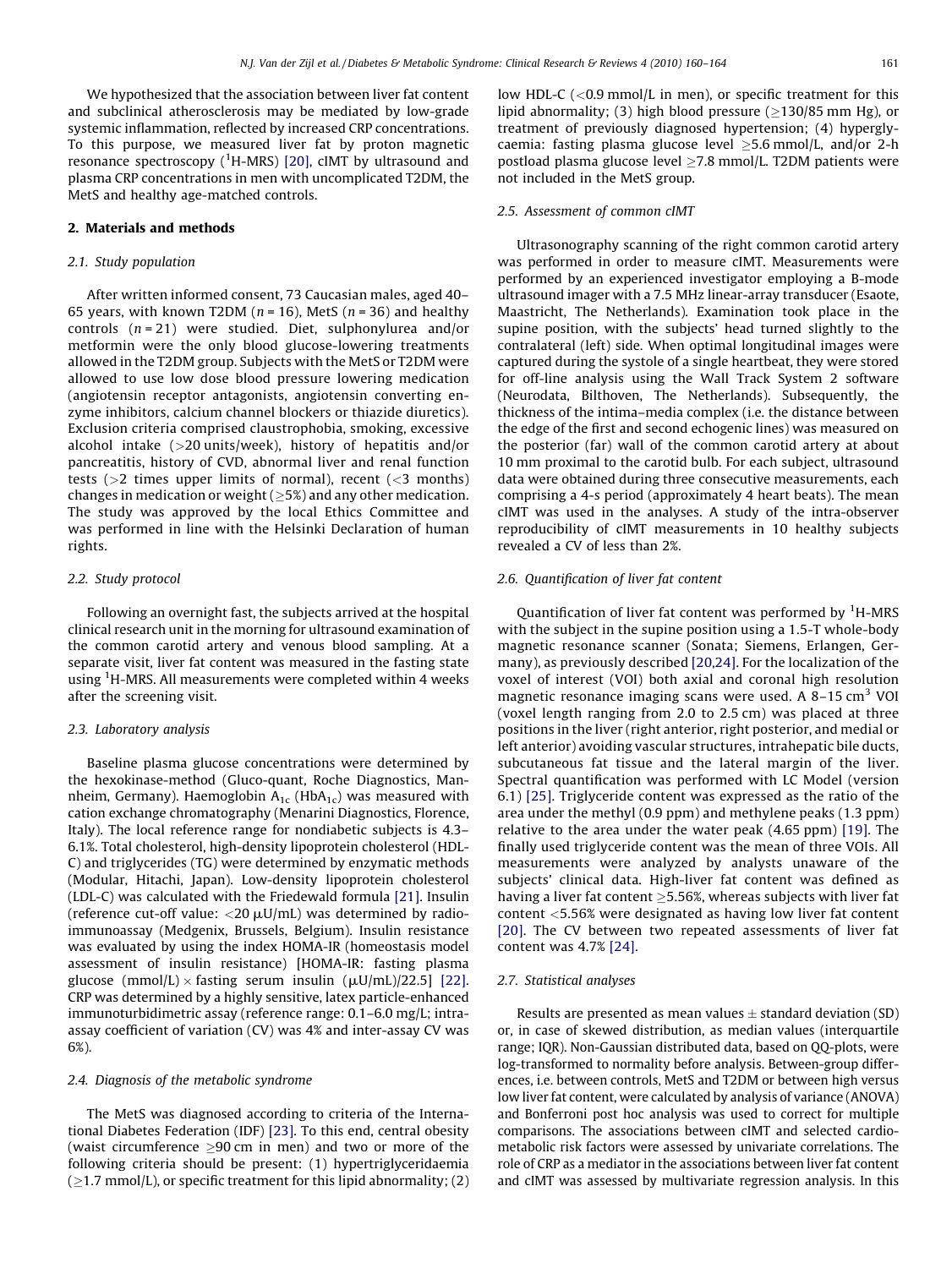We hypothesized that the association between liver fat content and subclinical atherosclerosis may be mediated by low-grade systemic inflammation, reflected by increased CRP concentrations. To this purpose, we measured liver fat by proton magnetic resonance spectroscopy (<sup>1</sup>H-MRS) [\[20\],](#page-4-0) cIMT by ultrasound and plasma CRP concentrations in men with uncomplicated T2DM, the MetS and healthy age-matched controls.

## 2. Materials and methods

# 2.1. Study population

After written informed consent, 73 Caucasian males, aged 40– 65 years, with known T2DM ( $n = 16$ ), MetS ( $n = 36$ ) and healthy controls  $(n = 21)$  were studied. Diet, sulphonylurea and/or metformin were the only blood glucose-lowering treatments allowed in the T2DM group. Subjects with the MetS or T2DM were allowed to use low dose blood pressure lowering medication (angiotensin receptor antagonists, angiotensin converting enzyme inhibitors, calcium channel blockers or thiazide diuretics). Exclusion criteria comprised claustrophobia, smoking, excessive alcohol intake (>20 units/week), history of hepatitis and/or pancreatitis, history of CVD, abnormal liver and renal function tests ( $>2$  times upper limits of normal), recent ( $<$ 3 months) changes in medication or weight ( $\geq$ 5%) and any other medication. The study was approved by the local Ethics Committee and was performed in line with the Helsinki Declaration of human rights.

# 2.2. Study protocol

Following an overnight fast, the subjects arrived at the hospital clinical research unit in the morning for ultrasound examination of the common carotid artery and venous blood sampling. At a separate visit, liver fat content was measured in the fasting state using <sup>1</sup>H-MRS. All measurements were completed within 4 weeks after the screening visit.

#### 2.3. Laboratory analysis

Baseline plasma glucose concentrations were determined by the hexokinase-method (Gluco-quant, Roche Diagnostics, Mannheim, Germany). Haemoglobin  $A_{1c}$  (Hb $A_{1c}$ ) was measured with cation exchange chromatography (Menarini Diagnostics, Florence, Italy). The local reference range for nondiabetic subjects is 4.3– 6.1%. Total cholesterol, high-density lipoprotein cholesterol (HDL-C) and triglycerides (TG) were determined by enzymatic methods (Modular, Hitachi, Japan). Low-density lipoprotein cholesterol (LDL-C) was calculated with the Friedewald formula [\[21\].](#page-4-0) Insulin (reference cut-off value:  $\langle 20 \mu U/mL \rangle$  was determined by radioimmunoassay (Medgenix, Brussels, Belgium). Insulin resistance was evaluated by using the index HOMA-IR (homeostasis model assessment of insulin resistance) [HOMA-IR: fasting plasma glucose (mmol/L)  $\times$  fasting serum insulin ( $\mu$ U/mL)/22.5] [\[22\].](#page-4-0) CRP was determined by a highly sensitive, latex particle-enhanced immunoturbidimetric assay (reference range: 0.1–6.0 mg/L; intraassay coefficient of variation (CV) was 4% and inter-assay CV was 6%).

#### 2.4. Diagnosis of the metabolic syndrome

The MetS was diagnosed according to criteria of the International Diabetes Federation (IDF) [\[23\].](#page-4-0) To this end, central obesity (waist circumference  $\geq$ 90 cm in men) and two or more of the following criteria should be present: (1) hypertriglyceridaemia ( $\ge$ 1.7 mmol/L), or specific treatment for this lipid abnormality; (2)

low HDL-C (<0.9 mmol/L in men), or specific treatment for this lipid abnormality; (3) high blood pressure ( $\geq$ 130/85 mm Hg), or treatment of previously diagnosed hypertension; (4) hyperglycaemia: fasting plasma glucose level  $\geq$ 5.6 mmol/L, and/or 2-h postload plasma glucose level  $\geq$ 7.8 mmol/L. T2DM patients were not included in the MetS group.

#### 2.5. Assessment of common cIMT

Ultrasonography scanning of the right common carotid artery was performed in order to measure cIMT. Measurements were performed by an experienced investigator employing a B-mode ultrasound imager with a 7.5 MHz linear-array transducer (Esaote, Maastricht, The Netherlands). Examination took place in the supine position, with the subjects' head turned slightly to the contralateral (left) side. When optimal longitudinal images were captured during the systole of a single heartbeat, they were stored for off-line analysis using the Wall Track System 2 software (Neurodata, Bilthoven, The Netherlands). Subsequently, the thickness of the intima–media complex (i.e. the distance between the edge of the first and second echogenic lines) was measured on the posterior (far) wall of the common carotid artery at about 10 mm proximal to the carotid bulb. For each subject, ultrasound data were obtained during three consecutive measurements, each comprising a 4-s period (approximately 4 heart beats). The mean cIMT was used in the analyses. A study of the intra-observer reproducibility of cIMT measurements in 10 healthy subjects revealed a CV of less than 2%.

#### 2.6. Quantification of liver fat content

Quantification of liver fat content was performed by <sup>1</sup>H-MRS with the subject in the supine position using a 1.5-T whole-body magnetic resonance scanner (Sonata; Siemens, Erlangen, Germany), as previously described [\[20,24\].](#page-4-0) For the localization of the voxel of interest (VOI) both axial and coronal high resolution magnetic resonance imaging scans were used. A  $8-15$  cm<sup>3</sup> VOI (voxel length ranging from 2.0 to 2.5 cm) was placed at three positions in the liver (right anterior, right posterior, and medial or left anterior) avoiding vascular structures, intrahepatic bile ducts, subcutaneous fat tissue and the lateral margin of the liver. Spectral quantification was performed with LC Model (version 6.1) [\[25\]](#page-4-0). Triglyceride content was expressed as the ratio of the area under the methyl (0.9 ppm) and methylene peaks (1.3 ppm) relative to the area under the water peak (4.65 ppm) [\[19\]](#page-4-0). The finally used triglyceride content was the mean of three VOIs. All measurements were analyzed by analysts unaware of the subjects' clinical data. High-liver fat content was defined as having a liver fat content  $\geq$ 5.56%, whereas subjects with liver fat content <5.56% were designated as having low liver fat content [\[20\].](#page-4-0) The CV between two repeated assessments of liver fat content was 4.7% [\[24\]](#page-4-0).

## 2.7. Statistical analyses

Results are presented as mean values  $\pm$  standard deviation (SD) or, in case of skewed distribution, as median values (interquartile range; IQR). Non-Gaussian distributed data, based on QQ-plots, were log-transformed to normality before analysis. Between-group differences, i.e. between controls, MetS and T2DM or between high versus low liver fat content, were calculated by analysis of variance (ANOVA) and Bonferroni post hoc analysis was used to correct for multiple comparisons. The associations between cIMT and selected cardiometabolic risk factors were assessed by univariate correlations. The role of CRP as a mediator in the associations between liver fat content and cIMT was assessed by multivariate regression analysis. In this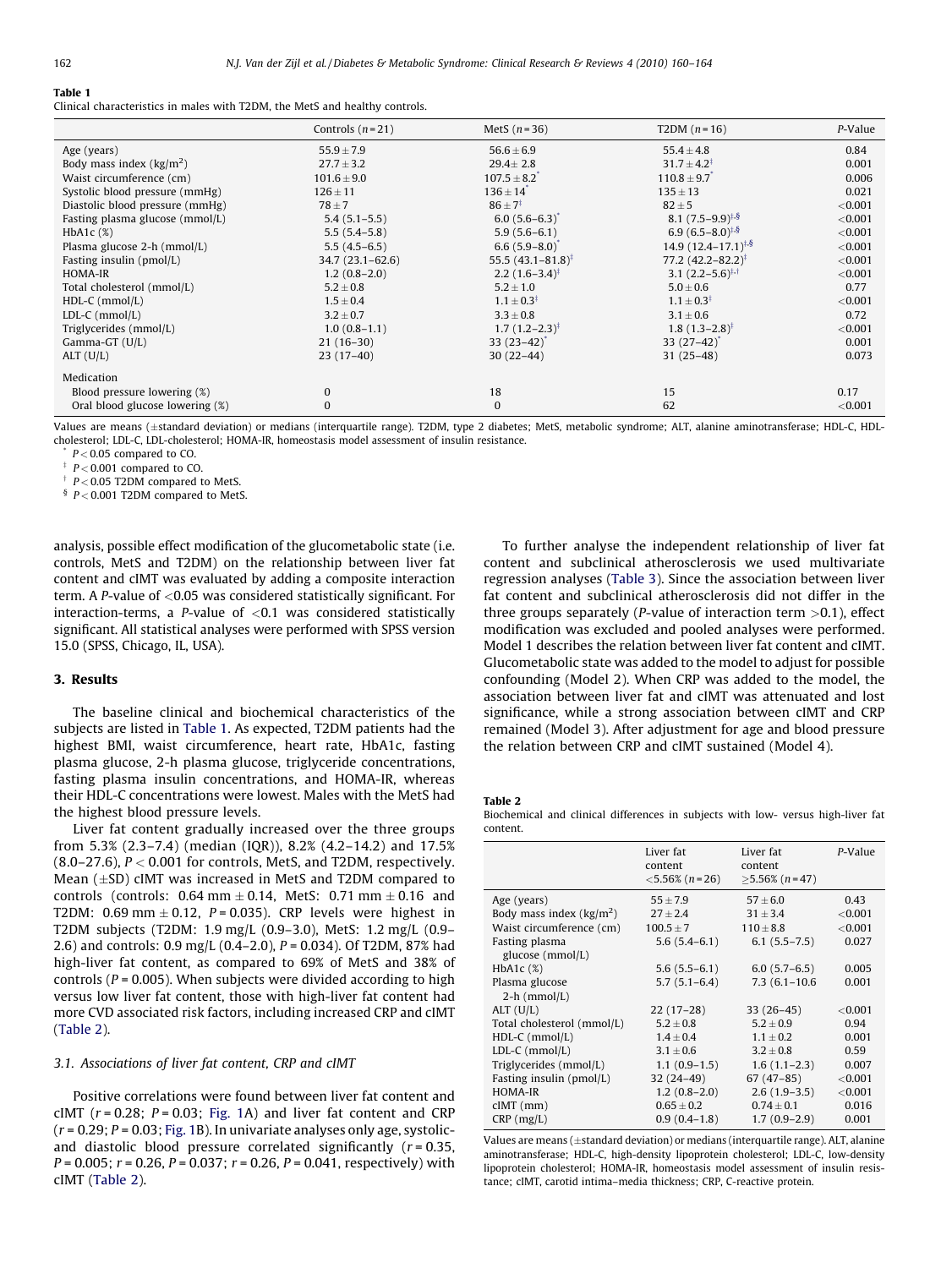## Table 1

Clinical characteristics in males with T2DM, the MetS and healthy controls.

|                                  | Controls $(n=21)$   | MetS $(n=36)$                   | T2DM $(n=16)$                   | P-Value    |
|----------------------------------|---------------------|---------------------------------|---------------------------------|------------|
| Age (years)                      | $55.9 \pm 7.9$      | $56.6 \pm 6.9$                  | $55.4 \pm 4.8$                  | 0.84       |
| Body mass index $\frac{kg}{m^2}$ | $27.7 \pm 3.2$      | $29.4 \pm 2.8$                  | $31.7 \pm 4.2^{\ddagger}$       | 0.001      |
| Waist circumference (cm)         | $101.6 \pm 9.0$     | $107.5 \pm 8.2$                 | $110.8 \pm 9.7$                 | 0.006      |
| Systolic blood pressure (mmHg)   | $126 \pm 11$        | $136 \pm 14$ <sup>*</sup>       | $135 \pm 13$                    | 0.021      |
| Diastolic blood pressure (mmHg)  | $78 \pm 7$          | $86 \pm 7^{\ddagger}$           | $82 \pm 5$                      | < 0.001    |
| Fasting plasma glucose (mmol/L)  | $5.4(5.1-5.5)$      | $6.0(5.6-6.3)$                  | $8.1 (7.5 - 9.9)^{1.5}$         | < 0.001    |
| $HbA1c$ (%)                      | $5.5(5.4-5.8)$      | $5.9(5.6-6.1)$                  | $6.9(6.5-8.0)^{4.8}$            | < 0.001    |
| Plasma glucose 2-h (mmol/L)      | $5.5(4.5-6.5)$      | $6.6(5.9-8.0)$                  | $14.9(12.4-17.1)^{1.5}$         | < 0.001    |
| Fasting insulin (pmol/L)         | $34.7(23.1 - 62.6)$ | 55.5 $(43.1 - 81.8)^{\ddagger}$ | 77.2 $(42.2 - 82.2)^{\ddagger}$ | < 0.001    |
| HOMA-IR                          | $1.2(0.8-2.0)$      | $2.2 (1.6 - 3.4)^{4}$           | 3.1 $(2.2-5.6)^{\ddagger,+}$    | < 0.001    |
| Total cholesterol (mmol/L)       | $5.2 \pm 0.8$       | $5.2 \pm 1.0$                   | $5.0 \pm 0.6$                   | 0.77       |
| $HDL-C$ (mmol/L)                 | $1.5 \pm 0.4$       | $1.1 \pm 0.3^{\ddagger}$        | $1.1 \pm 0.3^{\ddagger}$        | < 0.001    |
| $LDL-C$ (mmol/L)                 | $3.2 \pm 0.7$       | $3.3 \pm 0.8$                   | $3.1 \pm 0.6$                   | 0.72       |
| Triglycerides (mmol/L)           | $1.0(0.8-1.1)$      | $1.7(1.2-2.3)^{3}$              | $1.8(1.3-2.8)^{3}$              | ${<}0.001$ |
| Gamma-GT (U/L)                   | $21(16-30)$         | $33(23-42)$                     | $33(27-42)$                     | 0.001      |
| ALT (U/L)                        | $23(17-40)$         | $30(22-44)$                     | $31(25-48)$                     | 0.073      |
| Medication                       |                     |                                 |                                 |            |
| Blood pressure lowering (%)      | $\mathbf{0}$        | 18                              | 15                              | 0.17       |
| Oral blood glucose lowering (%)  | $\mathbf{0}$        | $\Omega$                        | 62                              | < 0.001    |

Values are means (±standard deviation) or medians (interquartile range). T2DM, type 2 diabetes; MetS, metabolic syndrome; ALT, alanine aminotransferase; HDL-C, HDLcholesterol; LDL-C, LDL-cholesterol; HOMA-IR, homeostasis model assessment of insulin resistance.

 $P < 0.05$  compared to CO.

 $\frac{1}{2}$  P < 0.001 compared to CO.

 $\uparrow$  P < 0.05 T2DM compared to MetS.

 $\frac{6}{5}$  P < 0.001 T2DM compared to MetS.

analysis, possible effect modification of the glucometabolic state (i.e. controls, MetS and T2DM) on the relationship between liver fat content and cIMT was evaluated by adding a composite interaction term. A P-value of  $<$  0.05 was considered statistically significant. For interaction-terms, a P-value of  $< 0.1$  was considered statistically significant. All statistical analyses were performed with SPSS version 15.0 (SPSS, Chicago, IL, USA).

#### 3. Results

The baseline clinical and biochemical characteristics of the subjects are listed in Table 1. As expected, T2DM patients had the highest BMI, waist circumference, heart rate, HbA1c, fasting plasma glucose, 2-h plasma glucose, triglyceride concentrations, fasting plasma insulin concentrations, and HOMA-IR, whereas their HDL-C concentrations were lowest. Males with the MetS had the highest blood pressure levels.

Liver fat content gradually increased over the three groups from 5.3% (2.3–7.4) (median (IQR)), 8.2% (4.2–14.2) and 17.5%  $(8.0-27.6)$ ,  $P < 0.001$  for controls, MetS, and T2DM, respectively. Mean  $(\pm SD)$  cIMT was increased in MetS and T2DM compared to controls (controls:  $0.64$  mm  $\pm$  0.14, MetS: 0.71 mm  $\pm$  0.16 and T2DM: 0.69 mm  $\pm$  0.12, P = 0.035). CRP levels were highest in T2DM subjects (T2DM: 1.9 mg/L (0.9–3.0), MetS: 1.2 mg/L (0.9– 2.6) and controls: 0.9 mg/L (0.4-2.0),  $P = 0.034$ ). Of T2DM, 87% had high-liver fat content, as compared to 69% of MetS and 38% of controls ( $P = 0.005$ ). When subjects were divided according to high versus low liver fat content, those with high-liver fat content had more CVD associated risk factors, including increased CRP and cIMT (Table 2).

# 3.1. Associations of liver fat content, CRP and cIMT

Positive correlations were found between liver fat content and cIMT ( $r = 0.28$ ;  $P = 0.03$ ; [Fig. 1A](#page-3-0)) and liver fat content and CRP  $(r = 0.29; P = 0.03; Fig. 1B)$  $(r = 0.29; P = 0.03; Fig. 1B)$  $(r = 0.29; P = 0.03; Fig. 1B)$ . In univariate analyses only age, systolicand diastolic blood pressure correlated significantly  $(r = 0.35,$  $P = 0.005$ ;  $r = 0.26$ ,  $P = 0.037$ ;  $r = 0.26$ ,  $P = 0.041$ , respectively) with cIMT (Table 2).

To further analyse the independent relationship of liver fat content and subclinical atherosclerosis we used multivariate regression analyses ([Table 3\)](#page-3-0). Since the association between liver fat content and subclinical atherosclerosis did not differ in the three groups separately (*P*-value of interaction term  $>0.1$ ), effect modification was excluded and pooled analyses were performed. Model 1 describes the relation between liver fat content and cIMT. Glucometabolic state was added to the model to adjust for possible confounding (Model 2). When CRP was added to the model, the association between liver fat and cIMT was attenuated and lost significance, while a strong association between cIMT and CRP remained (Model 3). After adjustment for age and blood pressure the relation between CRP and cIMT sustained (Model 4).

Table 2

Biochemical and clinical differences in subjects with low- versus high-liver fat content.

|                            | Liver fat<br>content<br>$< 5.56\%$ (n=26) | Liver fat<br>content<br>$>5.56\%$ (n = 47) | P-Value |
|----------------------------|-------------------------------------------|--------------------------------------------|---------|
| Age (years)                | $55 \pm 7.9$                              | $57 \pm 6.0$                               | 0.43    |
| Body mass index $(kg/m2)$  | $27 \pm 2.4$                              | $31 \pm 3.4$                               | < 0.001 |
| Waist circumference (cm)   | $100.5 \pm 7$                             | $110 \pm 8.8$                              | < 0.001 |
| Fasting plasma             | $5.6(5.4-6.1)$                            | $6.1(5.5-7.5)$                             | 0.027   |
| glucose (mmol/L)           |                                           |                                            |         |
| HbA <sub>1</sub> c $(\%)$  | $5.6(5.5-6.1)$                            | $6.0(5.7-6.5)$                             | 0.005   |
| Plasma glucose             | $5.7(5.1-6.4)$                            | $7.3(6.1 - 10.6)$                          | 0.001   |
| $2-h$ (mmol/L)             |                                           |                                            |         |
| ALT (U/L)                  | $22(17-28)$                               | $33(26-45)$                                | < 0.001 |
| Total cholesterol (mmol/L) | $5.2 \pm 0.8$                             | $5.2 \pm 0.9$                              | 0.94    |
| $HDL-C$ (mmol/L)           | $1.4 \pm 0.4$                             | $1.1 \pm 0.2$                              | 0.001   |
| $LDL-C (mmol/L)$           | $3.1 \pm 0.6$                             | $3.2 \pm 0.8$                              | 0.59    |
| Triglycerides (mmol/L)     | $1.1(0.9-1.5)$                            | $1.6(1.1-2.3)$                             | 0.007   |
| Fasting insulin (pmol/L)   | $32(24-49)$                               | $67(47-85)$                                | < 0.001 |
| HOMA-IR                    | $1.2(0.8-2.0)$                            | $2.6(1.9-3.5)$                             | < 0.001 |
| $cIMT$ ( $mm$ )            | $0.65 \pm 0.2$                            | $0.74 \pm 0.1$                             | 0.016   |
| $CRP$ (mg/L)               | $0.9(0.4-1.8)$                            | $1.7(0.9-2.9)$                             | 0.001   |

Values are means ( $\pm$ standard deviation) or medians (interquartile range). ALT, alanine aminotransferase; HDL-C, high-density lipoprotein cholesterol; LDL-C, low-density lipoprotein cholesterol; HOMA-IR, homeostasis model assessment of insulin resistance; cIMT, carotid intima–media thickness; CRP, C-reactive protein.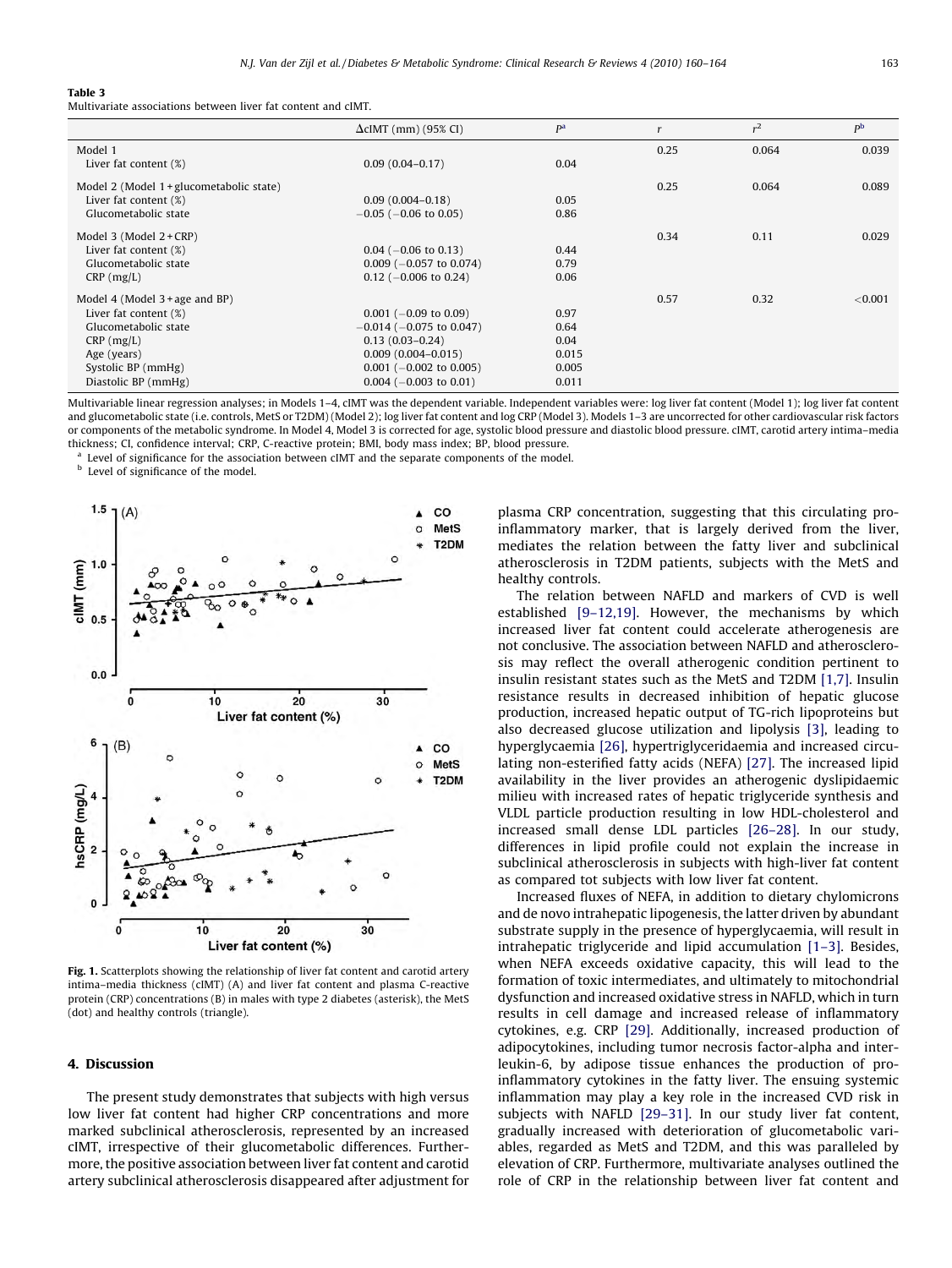#### <span id="page-3-0"></span>Table 3

Multivariate associations between liver fat content and cIMT.

|                                          | $\Delta$ cIMT (mm) (95% CI)     | P <sup>a</sup> |      | $r^2$ | p <sub>b</sub> |
|------------------------------------------|---------------------------------|----------------|------|-------|----------------|
| Model 1                                  |                                 |                | 0.25 | 0.064 | 0.039          |
| Liver fat content (%)                    | $0.09(0.04 - 0.17)$             | 0.04           |      |       |                |
| Model 2 (Model 1 + glucometabolic state) |                                 |                | 0.25 | 0.064 | 0.089          |
| Liver fat content $(\%)$                 | $0.09(0.004 - 0.18)$            | 0.05           |      |       |                |
| Glucometabolic state                     | $-0.05$ ( $-0.06$ to 0.05)      | 0.86           |      |       |                |
| Model $3$ (Model $2 + CRP$ )             |                                 |                | 0.34 | 0.11  | 0.029          |
| Liver fat content (%)                    | $0.04$ (-0.06 to 0.13)          | 0.44           |      |       |                |
| Glucometabolic state                     | $0.009$ ( $-0.057$ to $0.074$ ) | 0.79           |      |       |                |
| $CRP$ (mg/L)                             | $0.12$ (-0.006 to 0.24)         | 0.06           |      |       |                |
| Model $4$ (Model $3 + age$ and BP)       |                                 |                | 0.57 | 0.32  | < 0.001        |
| Liver fat content (%)                    | $0.001$ (-0.09 to 0.09)         | 0.97           |      |       |                |
| Glucometabolic state                     | $-0.014$ ( $-0.075$ to 0.047)   | 0.64           |      |       |                |
| $CRP$ (mg/L)                             | $0.13(0.03 - 0.24)$             | 0.04           |      |       |                |
| Age (years)                              | $0.009(0.004 - 0.015)$          | 0.015          |      |       |                |
| Systolic BP (mmHg)                       | $0.001$ (-0.002 to 0.005)       | 0.005          |      |       |                |
| Diastolic BP (mmHg)                      | $0.004$ (-0.003 to 0.01)        | 0.011          |      |       |                |

Multivariable linear regression analyses; in Models 1–4, cIMT was the dependent variable. Independent variables were: log liver fat content (Model 1); log liver fat content and glucometabolic state (i.e. controls, MetS or T2DM) (Model 2); log liver fat content and log CRP (Model 3). Models 1–3 are uncorrected for other cardiovascular risk factors or components of the metabolic syndrome. In Model 4, Model 3 is corrected for age, systolic blood pressure and diastolic blood pressure. cIMT, carotid artery intima–media thickness; CI, confidence interval; CRP, C-reactive protein; BMI, body mass index; BP, blood pressure.

Level of significance for the association between cIMT and the separate components of the model.

Level of significance of the model.



Fig. 1. Scatterplots showing the relationship of liver fat content and carotid artery intima–media thickness (cIMT) (A) and liver fat content and plasma C-reactive protein (CRP) concentrations (B) in males with type 2 diabetes (asterisk), the MetS (dot) and healthy controls (triangle).

### 4. Discussion

The present study demonstrates that subjects with high versus low liver fat content had higher CRP concentrations and more marked subclinical atherosclerosis, represented by an increased cIMT, irrespective of their glucometabolic differences. Furthermore, the positive association between liver fat content and carotid artery subclinical atherosclerosis disappeared after adjustment for plasma CRP concentration, suggesting that this circulating proinflammatory marker, that is largely derived from the liver, mediates the relation between the fatty liver and subclinical atherosclerosis in T2DM patients, subjects with the MetS and healthy controls.

The relation between NAFLD and markers of CVD is well established [\[9–12,19\]](#page-4-0). However, the mechanisms by which increased liver fat content could accelerate atherogenesis are not conclusive. The association between NAFLD and atherosclerosis may reflect the overall atherogenic condition pertinent to insulin resistant states such as the MetS and T2DM [\[1,7\]](#page-4-0). Insulin resistance results in decreased inhibition of hepatic glucose production, increased hepatic output of TG-rich lipoproteins but also decreased glucose utilization and lipolysis [\[3\]](#page-4-0), leading to hyperglycaemia [\[26\]](#page-4-0), hypertriglyceridaemia and increased circulating non-esterified fatty acids (NEFA) [\[27\]](#page-4-0). The increased lipid availability in the liver provides an atherogenic dyslipidaemic milieu with increased rates of hepatic triglyceride synthesis and VLDL particle production resulting in low HDL-cholesterol and increased small dense LDL particles [\[26–28\]](#page-4-0). In our study, differences in lipid profile could not explain the increase in subclinical atherosclerosis in subjects with high-liver fat content as compared tot subjects with low liver fat content.

Increased fluxes of NEFA, in addition to dietary chylomicrons and de novo intrahepatic lipogenesis, the latter driven by abundant substrate supply in the presence of hyperglycaemia, will result in intrahepatic triglyceride and lipid accumulation [\[1–3\]](#page-4-0). Besides, when NEFA exceeds oxidative capacity, this will lead to the formation of toxic intermediates, and ultimately to mitochondrial dysfunction and increased oxidative stress in NAFLD, which in turn results in cell damage and increased release of inflammatory cytokines, e.g. CRP [\[29\]](#page-4-0). Additionally, increased production of adipocytokines, including tumor necrosis factor-alpha and interleukin-6, by adipose tissue enhances the production of proinflammatory cytokines in the fatty liver. The ensuing systemic inflammation may play a key role in the increased CVD risk in subjects with NAFLD [\[29–31\].](#page-4-0) In our study liver fat content, gradually increased with deterioration of glucometabolic variables, regarded as MetS and T2DM, and this was paralleled by elevation of CRP. Furthermore, multivariate analyses outlined the role of CRP in the relationship between liver fat content and